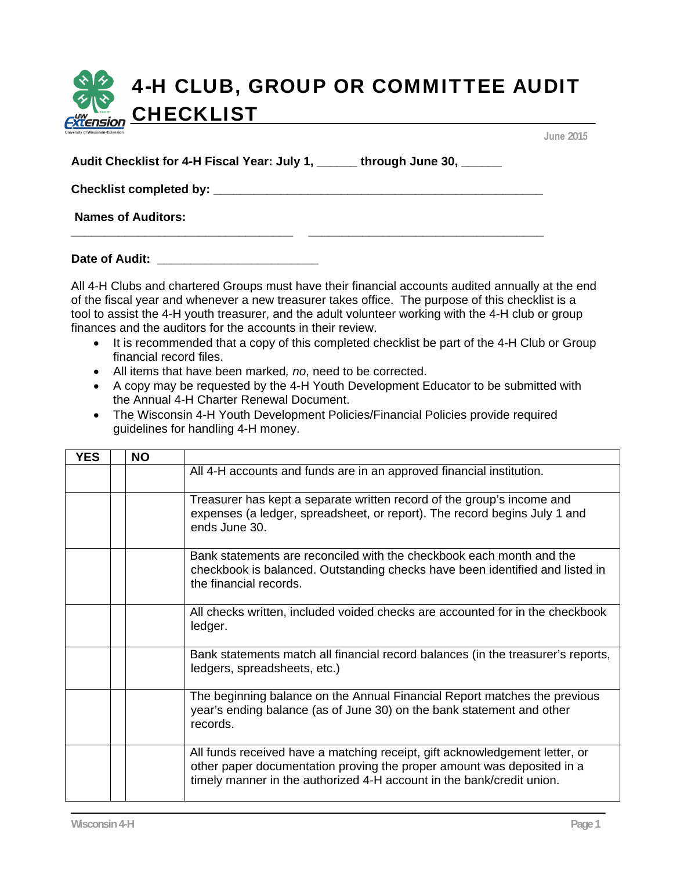## 4-H CLUB, GROUP OR COMMITTEE AUDIT CHECKLIST

**Audit Checklist for 4-H Fiscal Year: July 1, \_\_\_\_\_\_ through June 30, \_\_\_\_\_\_** 

**Checklist completed by: \_\_\_\_\_\_\_\_\_\_\_\_\_\_\_\_\_\_\_\_\_\_\_\_\_\_\_\_\_\_\_\_\_\_\_\_\_\_\_\_\_\_\_\_\_\_\_\_\_** 

 **Names of Auditors:** 

**Date of Audit: \_\_\_\_\_\_\_\_\_\_\_\_\_\_\_\_\_\_\_\_\_\_\_\_** 

All 4-H Clubs and chartered Groups must have their financial accounts audited annually at the end of the fiscal year and whenever a new treasurer takes office. The purpose of this checklist is a tool to assist the 4-H youth treasurer, and the adult volunteer working with the 4-H club or group finances and the auditors for the accounts in their review.

• It is recommended that a copy of this completed checklist be part of the 4-H Club or Group financial record files.

**\_\_\_\_\_\_\_\_\_\_\_\_\_\_\_\_\_\_\_\_\_\_\_\_\_\_\_\_\_\_\_\_\_ \_\_\_\_\_\_\_\_\_\_\_\_\_\_\_\_\_\_\_\_\_\_\_\_\_\_\_\_\_\_\_\_\_\_\_** 

- All items that have been marked*, no*, need to be corrected.
- A copy may be requested by the 4-H Youth Development Educator to be submitted with the Annual 4-H Charter Renewal Document.
- The Wisconsin 4-H Youth Development Policies/Financial Policies provide required guidelines for handling 4-H money.

| <b>YES</b> | <b>NO</b> |                                                                                                                                                                                                                                |
|------------|-----------|--------------------------------------------------------------------------------------------------------------------------------------------------------------------------------------------------------------------------------|
|            |           | All 4-H accounts and funds are in an approved financial institution.                                                                                                                                                           |
|            |           | Treasurer has kept a separate written record of the group's income and<br>expenses (a ledger, spreadsheet, or report). The record begins July 1 and<br>ends June 30.                                                           |
|            |           | Bank statements are reconciled with the checkbook each month and the<br>checkbook is balanced. Outstanding checks have been identified and listed in<br>the financial records.                                                 |
|            |           | All checks written, included voided checks are accounted for in the checkbook<br>ledger.                                                                                                                                       |
|            |           | Bank statements match all financial record balances (in the treasurer's reports,<br>ledgers, spreadsheets, etc.)                                                                                                               |
|            |           | The beginning balance on the Annual Financial Report matches the previous<br>year's ending balance (as of June 30) on the bank statement and other<br>records.                                                                 |
|            |           | All funds received have a matching receipt, gift acknowledgement letter, or<br>other paper documentation proving the proper amount was deposited in a<br>timely manner in the authorized 4-H account in the bank/credit union. |

**June 2015**